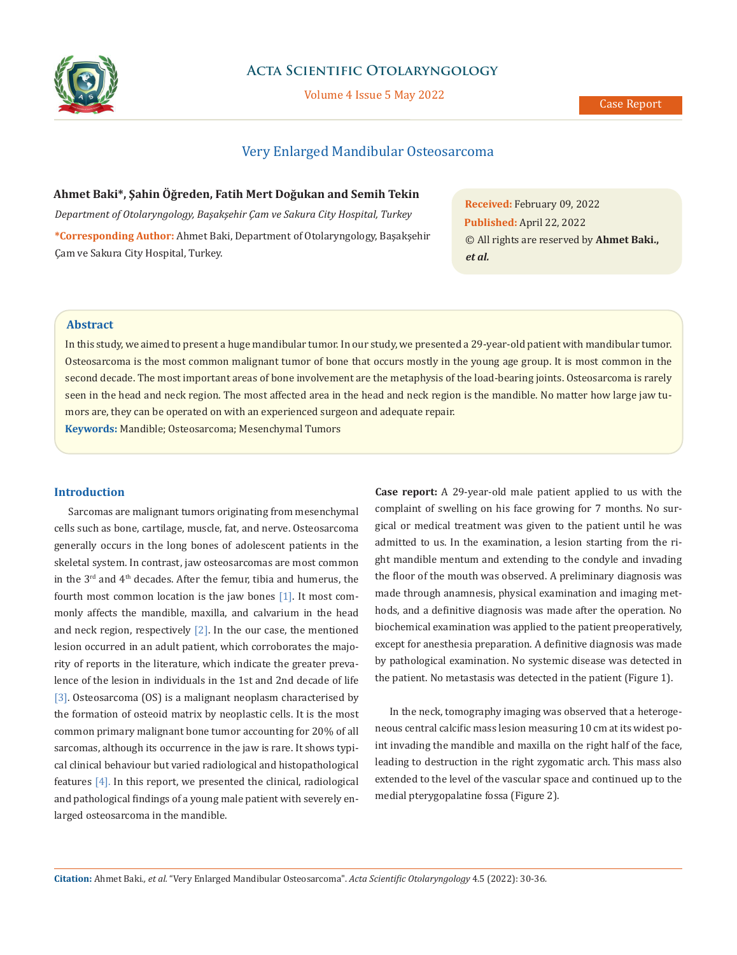

## **Acta Scientific Otolaryngology**

Volume 4 Issue 5 May 2022

# Very Enlarged Mandibular Osteosarcoma

**Ahmet Baki\*, Şahin Öğreden, Fatih Mert Doğukan and Semih Tekin** *Department of Otolaryngology, Başakşehir Çam ve Sakura City Hospital, Turkey* **\*Corresponding Author:** Ahmet Baki, Department of Otolaryngology, Başakşehir Çam ve Sakura City Hospital, Turkey.

**Received:** February 09, 2022 **Published:** April 22, 2022 © All rights are reserved by **Ahmet Baki.,** *et al.*

## **Abstract**

In this study, we aimed to present a huge mandibular tumor. In our study, we presented a 29-year-old patient with mandibular tumor. Osteosarcoma is the most common malignant tumor of bone that occurs mostly in the young age group. It is most common in the second decade. The most important areas of bone involvement are the metaphysis of the load-bearing joints. Osteosarcoma is rarely seen in the head and neck region. The most affected area in the head and neck region is the mandible. No matter how large jaw tumors are, they can be operated on with an experienced surgeon and adequate repair.

**Keywords:** Mandible; Osteosarcoma; Mesenchymal Tumors

## **Introduction**

Sarcomas are malignant tumors originating from mesenchymal cells such as bone, cartilage, muscle, fat, and nerve. Osteosarcoma generally occurs in the long bones of adolescent patients in the skeletal system. In contrast, jaw osteosarcomas are most common in the  $3<sup>rd</sup>$  and  $4<sup>th</sup>$  decades. After the femur, tibia and humerus, the fourth most common location is the jaw bones [1]. It most commonly affects the mandible, maxilla, and calvarium in the head and neck region, respectively  $[2]$ . In the our case, the mentioned lesion occurred in an adult patient, which corroborates the majority of reports in the literature, which indicate the greater prevalence of the lesion in individuals in the 1st and 2nd decade of life [3]. Osteosarcoma (OS) is a malignant neoplasm characterised by the formation of osteoid matrix by neoplastic cells. It is the most common primary malignant bone tumor accounting for 20% of all sarcomas, although its occurrence in the jaw is rare. It shows typical clinical behaviour but varied radiological and histopathological features [4]. In this report, we presented the clinical, radiological and pathological findings of a young male patient with severely enlarged osteosarcoma in the mandible.

**Case report:** A 29-year-old male patient applied to us with the complaint of swelling on his face growing for 7 months. No surgical or medical treatment was given to the patient until he was admitted to us. In the examination, a lesion starting from the right mandible mentum and extending to the condyle and invading the floor of the mouth was observed. A preliminary diagnosis was made through anamnesis, physical examination and imaging methods, and a definitive diagnosis was made after the operation. No biochemical examination was applied to the patient preoperatively, except for anesthesia preparation. A definitive diagnosis was made by pathological examination. No systemic disease was detected in the patient. No metastasis was detected in the patient (Figure 1).

In the neck, tomography imaging was observed that a heterogeneous central calcific mass lesion measuring 10 cm at its widest point invading the mandible and maxilla on the right half of the face, leading to destruction in the right zygomatic arch. This mass also extended to the level of the vascular space and continued up to the medial pterygopalatine fossa (Figure 2).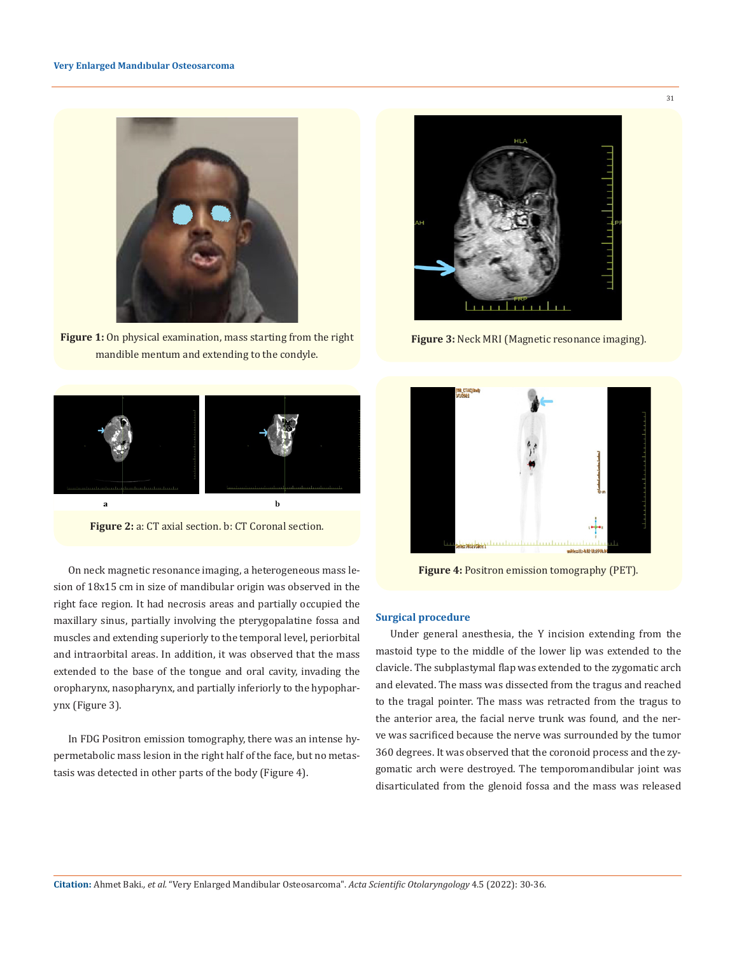

**Figure 1:** On physical examination, mass starting from the right mandible mentum and extending to the condyle.



**Figure 2:** a: CT axial section. b: CT Coronal section.

On neck magnetic resonance imaging, a heterogeneous mass lesion of 18x15 cm in size of mandibular origin was observed in the right face region. It had necrosis areas and partially occupied the maxillary sinus, partially involving the pterygopalatine fossa and muscles and extending superiorly to the temporal level, periorbital and intraorbital areas. In addition, it was observed that the mass extended to the base of the tongue and oral cavity, invading the oropharynx, nasopharynx, and partially inferiorly to the hypopharynx (Figure 3).

In FDG Positron emission tomography, there was an intense hypermetabolic mass lesion in the right half of the face, but no metastasis was detected in other parts of the body (Figure 4).



**Figure 3:** Neck MRI (Magnetic resonance imaging).



**Figure 4:** Positron emission tomography (PET).

## **Surgical procedure**

Under general anesthesia, the Y incision extending from the mastoid type to the middle of the lower lip was extended to the clavicle. The subplastymal flap was extended to the zygomatic arch and elevated. The mass was dissected from the tragus and reached to the tragal pointer. The mass was retracted from the tragus to the anterior area, the facial nerve trunk was found, and the nerve was sacrificed because the nerve was surrounded by the tumor 360 degrees. It was observed that the coronoid process and the zygomatic arch were destroyed. The temporomandibular joint was disarticulated from the glenoid fossa and the mass was released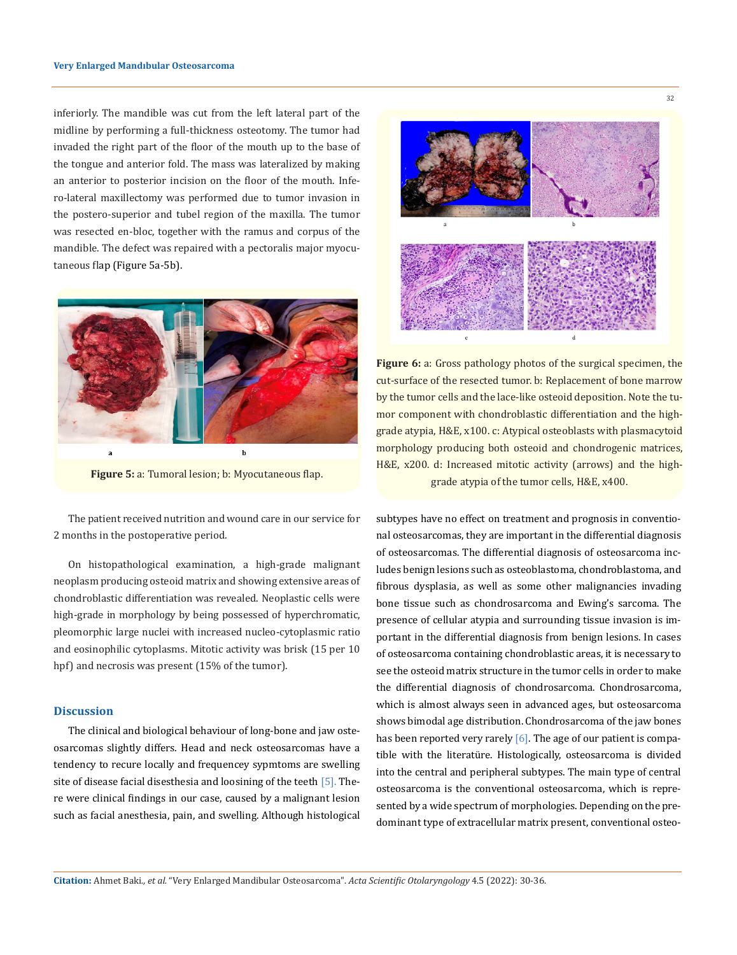inferiorly. The mandible was cut from the left lateral part of the midline by performing a full-thickness osteotomy. The tumor had invaded the right part of the floor of the mouth up to the base of the tongue and anterior fold. The mass was lateralized by making an anterior to posterior incision on the floor of the mouth. Infero-lateral maxillectomy was performed due to tumor invasion in the postero-superior and tubel region of the maxilla. The tumor was resected en-bloc, together with the ramus and corpus of the mandible. The defect was repaired with a pectoralis major myocutaneous flap (Figure 5a-5b).



**Figure 5:** a: Tumoral lesion; b: Myocutaneous flap.

The patient received nutrition and wound care in our service for 2 months in the postoperative period.

On histopathological examination, a high-grade malignant neoplasm producing osteoid matrix and showing extensive areas of chondroblastic differentiation was revealed. Neoplastic cells were high-grade in morphology by being possessed of hyperchromatic, pleomorphic large nuclei with increased nucleo-cytoplasmic ratio and eosinophilic cytoplasms. Mitotic activity was brisk (15 per 10 hpf) and necrosis was present (15% of the tumor).

#### **Discussion**

The clinical and biological behaviour of long-bone and jaw osteosarcomas slightly differs. Head and neck osteosarcomas have a tendency to recure locally and frequencey sypmtoms are swelling site of disease facial disesthesia and loosining of the teeth [5]. There were clinical findings in our case, caused by a malignant lesion such as facial anesthesia, pain, and swelling. Although histological



Figure 6: a: Gross pathology photos of the surgical specimen, the cut-surface of the resected tumor. b: Replacement of bone marrow by the tumor cells and the lace-like osteoid deposition. Note the tumor component with chondroblastic differentiation and the highgrade atypia, H&E, x100. c: Atypical osteoblasts with plasmacytoid morphology producing both osteoid and chondrogenic matrices, H&E, x200. d: Increased mitotic activity (arrows) and the highgrade atypia of the tumor cells, H&E, x400.

subtypes have no effect on treatment and prognosis in conventional osteosarcomas, they are important in the differential diagnosis of osteosarcomas. The differential diagnosis of osteosarcoma includes benign lesions such as osteoblastoma, chondroblastoma, and fibrous dysplasia, as well as some other malignancies invading bone tissue such as chondrosarcoma and Ewing's sarcoma. The presence of cellular atypia and surrounding tissue invasion is important in the differential diagnosis from benign lesions. In cases of osteosarcoma containing chondroblastic areas, it is necessary to see the osteoid matrix structure in the tumor cells in order to make the differential diagnosis of chondrosarcoma. Chondrosarcoma, which is almost always seen in advanced ages, but osteosarcoma shows bimodal age distribution. Chondrosarcoma of the jaw bones has been reported very rarely  $[6]$ . The age of our patient is compatible with the literatüre. Histologically, osteosarcoma is divided into the central and peripheral subtypes. The main type of central osteosarcoma is the conventional osteosarcoma, which is represented by a wide spectrum of morphologies. Depending on the predominant type of extracellular matrix present, conventional osteo-

**Citation:** Ahmet Baki*., et al.* "Very Enlarged Mandibular Osteosarcoma". *Acta Scientific Otolaryngology* 4.5 (2022): 30-36.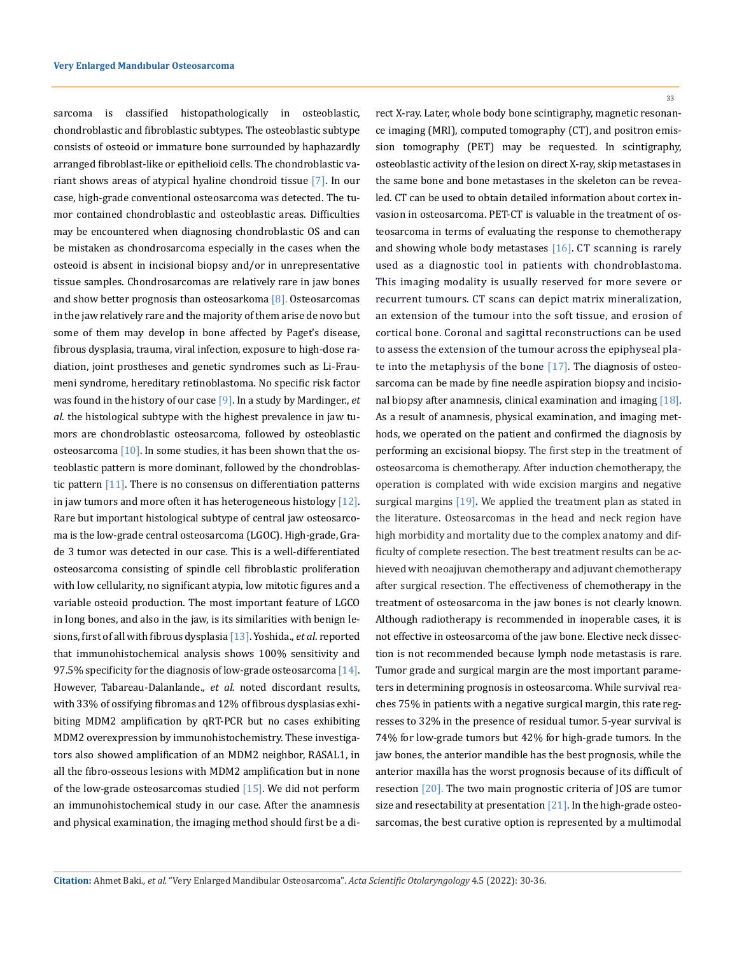sarcoma is classified histopathologically in osteoblastic, chondroblastic and fibroblastic subtypes. The osteoblastic subtype consists of osteoid or immature bone surrounded by haphazardly arranged fibroblast-like or epithelioid cells. The chondroblastic variant shows areas of atypical hyaline chondroid tissue [7]. In our case, high-grade conventional osteosarcoma was detected. The tumor contained chondroblastic and osteoblastic areas. Difficulties may be encountered when diagnosing chondroblastic OS and can be mistaken as chondrosarcoma especially in the cases when the osteoid is absent in incisional biopsy and/or in unrepresentative tissue samples. Chondrosarcomas are relatively rare in jaw bones and show better prognosis than osteosarkoma [8]. Osteosarcomas in the jaw relatively rare and the majority of them arise de novo but some of them may develop in bone affected by Paget's disease, fibrous dysplasia, trauma, viral infection, exposure to high-dose radiation, joint prostheses and genetic syndromes such as Li-Fraumeni syndrome, hereditary retinoblastoma. No specific risk factor was found in the history of our case [9]. In a study by Mardinger., *et al*. the histological subtype with the highest prevalence in jaw tumors are chondroblastic osteosarcoma, followed by osteoblastic osteosarcoma  $[10]$ . In some studies, it has been shown that the osteoblastic pattern is more dominant, followed by the chondroblastic pattern [11]. There is no consensus on differentiation patterns in jaw tumors and more often it has heterogeneous histology  $[12]$ . Rare but important histological subtype of central jaw osteosarcoma is the low-grade central osteosarcoma (LGOC). High-grade, Grade 3 tumor was detected in our case. This is a well-differentiated osteosarcoma consisting of spindle cell fibroblastic proliferation with low cellularity, no significant atypia, low mitotic figures and a variable osteoid production. The most important feature of LGCO in long bones, and also in the jaw, is its similarities with benign lesions, first of all with fibrous dysplasia [13]. Yoshida., *et al*. reported that immunohistochemical analysis shows 100% sensitivity and 97.5% specificity for the diagnosis of low-grade osteosarcoma  $[14]$ . However, Tabareau-Dalanlande., *et al.* noted discordant results, with 33% of ossifying fibromas and 12% of fibrous dysplasias exhibiting MDM2 amplification by qRT-PCR but no cases exhibiting MDM2 overexpression by immunohistochemistry. These investigators also showed amplification of an MDM2 neighbor, RASAL1, in all the fibro-osseous lesions with MDM2 amplification but in none of the low-grade osteosarcomas studied  $[15]$ . We did not perform an immunohistochemical study in our case. After the anamnesis and physical examination, the imaging method should first be a di33

rect X-ray. Later, whole body bone scintigraphy, magnetic resonance imaging (MRI), computed tomography (CT), and positron emission tomography (PET) may be requested. In scintigraphy, osteoblastic activity of the lesion on direct X-ray, skip metastases in the same bone and bone metastases in the skeleton can be revealed. CT can be used to obtain detailed information about cortex invasion in osteosarcoma. PET-CT is valuable in the treatment of osteosarcoma in terms of evaluating the response to chemotherapy and showing whole body metastases  $[16]$ . CT scanning is rarely used as a diagnostic tool in patients with chondroblastoma. This imaging modality is usually reserved for more severe or recurrent tumours. CT scans can depict matrix mineralization, an extension of the tumour into the soft tissue, and erosion of cortical bone. Coronal and sagittal reconstructions can be used to assess the extension of the tumour across the epiphyseal plate into the metaphysis of the bone  $[17]$ . The diagnosis of osteosarcoma can be made by fine needle aspiration biopsy and incisional biopsy after anamnesis, clinical examination and imaging [18]. As a result of anamnesis, physical examination, and imaging methods, we operated on the patient and confirmed the diagnosis by performing an excisional biopsy. The first step in the treatment of osteosarcoma is chemotherapy. After induction chemotherapy, the operation is complated with wide excision margins and negative surgical margins [19]. We applied the treatment plan as stated in the literature. Osteosarcomas in the head and neck region have high morbidity and mortality due to the complex anatomy and difficulty of complete resection. The best treatment results can be achieved with neoajjuvan chemotherapy and adjuvant chemotherapy after surgical resection. The effectiveness of chemotherapy in the treatment of osteosarcoma in the jaw bones is not clearly known. Although radiotherapy is recommended in inoperable cases, it is not effective in osteosarcoma of the jaw bone. Elective neck dissection is not recommended because lymph node metastasis is rare. Tumor grade and surgical margin are the most important parameters in determining prognosis in osteosarcoma. While survival reaches 75% in patients with a negative surgical margin, this rate regresses to 32% in the presence of residual tumor. 5-year survival is 74% for low-grade tumors but 42% for high-grade tumors. In the jaw bones, the anterior mandible has the best prognosis, while the anterior maxilla has the worst prognosis because of its difficult of resection [20]. The two main prognostic criteria of JOS are tumor size and resectability at presentation  $[21]$ . In the high-grade osteosarcomas, the best curative option is represented by a multimodal

**Citation:** Ahmet Baki*., et al.* "Very Enlarged Mandibular Osteosarcoma". *Acta Scientific Otolaryngology* 4.5 (2022): 30-36.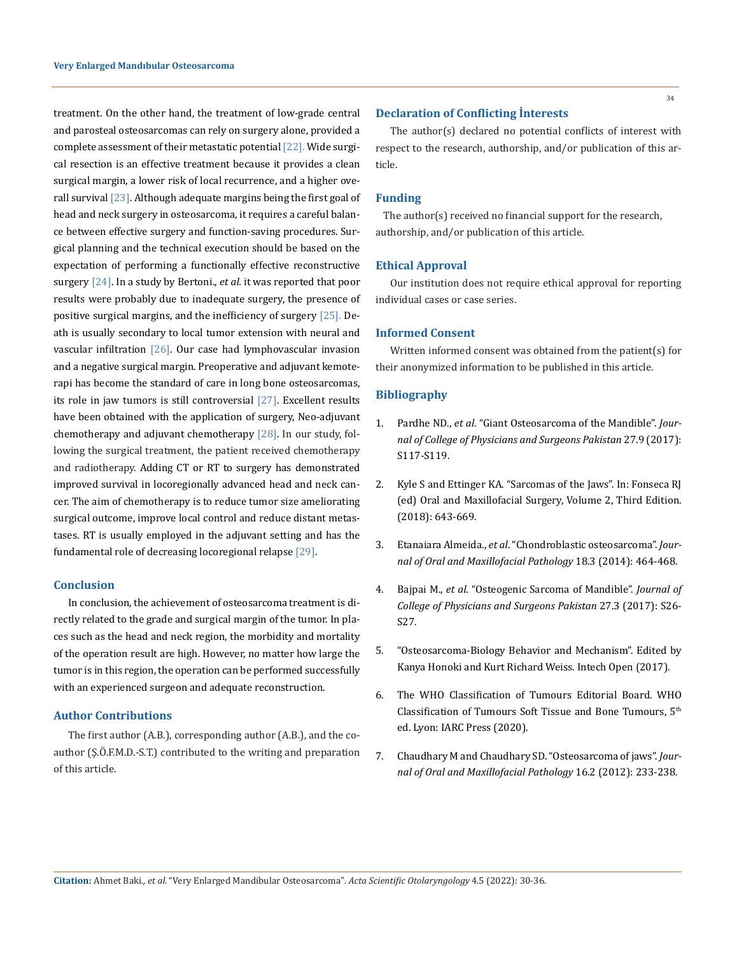treatment. On the other hand, the treatment of low-grade central and parosteal osteosarcomas can rely on surgery alone, provided a complete assessment of their metastatic potential  $[22]$ . Wide surgical resection is an effective treatment because it provides a clean surgical margin, a lower risk of local recurrence, and a higher overall survival [23]. Although adequate margins being the first goal of head and neck surgery in osteosarcoma, it requires a careful balance between effective surgery and function-saving procedures. Surgical planning and the technical execution should be based on the expectation of performing a functionally effective reconstructive surgery [24]. In a study by Bertoni., *et al.* it was reported that poor results were probably due to inadequate surgery, the presence of positive surgical margins, and the inefficiency of surgery [25]. Death is usually secondary to local tumor extension with neural and vascular infiltration  $[26]$ . Our case had lymphovascular invasion and a negative surgical margin. Preoperative and adjuvant kemoterapi has become the standard of care in long bone osteosarcomas, its role in jaw tumors is still controversial [27]. Excellent results have been obtained with the application of surgery, Neo-adjuvant chemotherapy and adjuvant chemotherapy [28]. In our study, following the surgical treatment, the patient received chemotherapy and radiotherapy. Adding CT or RT to surgery has demonstrated improved survival in locoregionally advanced head and neck cancer. The aim of chemotherapy is to reduce tumor size ameliorating surgical outcome, improve local control and reduce distant metastases. RT is usually employed in the adjuvant setting and has the fundamental role of decreasing locoregional relapse [29].

#### **Conclusion**

In conclusion, the achievement of osteosarcoma treatment is directly related to the grade and surgical margin of the tumor. In places such as the head and neck region, the morbidity and mortality of the operation result are high. However, no matter how large the tumor is in this region, the operation can be performed successfully with an experienced surgeon and adequate reconstruction.

### **Author Contributions**

The first author (A.B.), corresponding author (A.B.), and the coauthor (Ş.Ö.F.M.D.-S.T.) contributed to the writing and preparation of this article.

The author(s) declared no potential conflicts of interest with respect to the research, authorship, and/or publication of this article.

#### **Funding**

The author(s) received no financial support for the research, authorship, and/or publication of this article.

#### **Ethical Approval**

Our institution does not require ethical approval for reporting individual cases or case series.

#### **Informed Consent**

Written informed consent was obtained from the patient(s) for their anonymized information to be published in this article.

## **Bibliography**

- 1. Pardhe ND., *et al*[. "Giant Osteosarcoma of the Mandible".](https://pubmed.ncbi.nlm.nih.gov/28969746/) *Jour[nal of College of Physicians and Surgeons Pakistan](https://pubmed.ncbi.nlm.nih.gov/28969746/)* 27.9 (2017): [S117-S119.](https://pubmed.ncbi.nlm.nih.gov/28969746/)
- 2. Kyle S and Ettinger KA. "Sarcomas of the Jaws". In: Fonseca RJ (ed) Oral and Maxillofacial Surgery, Volume 2, Third Edition. (2018): 643-669.
- 3. Etanaiara Almeida., *et al*[. "Chondroblastic osteosarcoma".](https://pubmed.ncbi.nlm.nih.gov/25949008/) *Jour[nal of Oral and Maxillofacial Pathology](https://pubmed.ncbi.nlm.nih.gov/25949008/)* 18.3 (2014): 464-468.
- 4. Bajpai M., *et al*[. "Osteogenic Sarcoma of Mandible".](https://pubmed.ncbi.nlm.nih.gov/28302236/) *Journal of [College of Physicians and Surgeons Pakistan](https://pubmed.ncbi.nlm.nih.gov/28302236/)* 27.3 (2017): S26- [S27.](https://pubmed.ncbi.nlm.nih.gov/28302236/)
- 5. ["Osteosarcoma-Biology Behavior and Mechanism". Edited by](http://dx.doi.org/10.5752)  [Kanya Honoki and Kurt Richard Weiss. Intech Open \(2017\).](http://dx.doi.org/10.5752)
- 6. The WHO Classification of Tumours Editorial Board. WHO Classification of Tumours Soft Tissue and Bone Tumours, 5th ed. Lyon: IARC Press (2020).
- 7. [Chaudhary M and Chaudhary SD. "Osteosarcoma of jaws".](https://pubmed.ncbi.nlm.nih.gov/22923896/) *Jour[nal of Oral and Maxillofacial Pathology](https://pubmed.ncbi.nlm.nih.gov/22923896/)* 16.2 (2012): 233-238.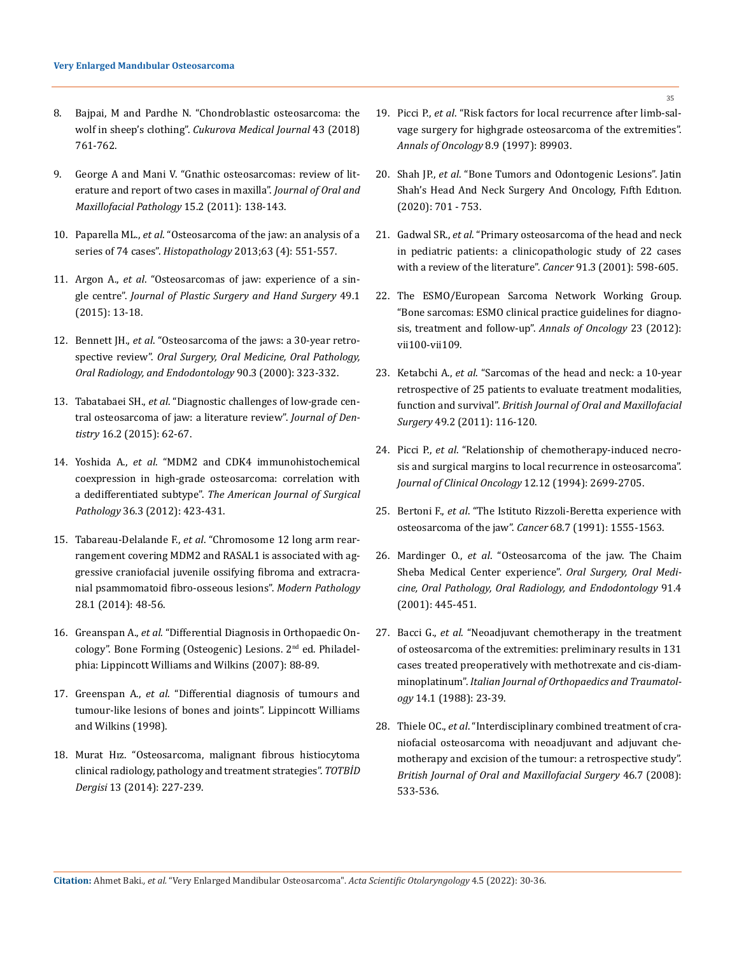- 8. [Bajpai, M and Pardhe N. "Chondroblastic osteosarcoma: the](https://www.researchgate.net/publication/325528769_Chondroblastic_osteosarcoma_the_wolf_in_sheep)  wolf in sheep's clothing". *[Cukurova Medical Journal](https://www.researchgate.net/publication/325528769_Chondroblastic_osteosarcoma_the_wolf_in_sheep)* 43 (2018) [761-762.](https://www.researchgate.net/publication/325528769_Chondroblastic_osteosarcoma_the_wolf_in_sheep)
- 9. [George A and Mani V. "Gnathic osteosarcomas: review of lit](https://www.jomfp.in/article.asp?issn=0973-029X;year=2011;volume=15;issue=2;spage=138;epage=143;aulast=George)[erature and report of two cases in maxilla".](https://www.jomfp.in/article.asp?issn=0973-029X;year=2011;volume=15;issue=2;spage=138;epage=143;aulast=George) *Journal of Oral and [Maxillofacial Pathology](https://www.jomfp.in/article.asp?issn=0973-029X;year=2011;volume=15;issue=2;spage=138;epage=143;aulast=George)* 15.2 (2011): 138-143.
- 10. Paparella ML., *et al*[. "Osteosarcoma of the jaw: an analysis of a](https://pubmed.ncbi.nlm.nih.gov/23889216/)  series of 74 cases". *Histopathology* [2013;63 \(4\): 551-557.](https://pubmed.ncbi.nlm.nih.gov/23889216/)
- 11. Argon A., *et al*[. "Osteosarcomas of jaw: experience of a sin](https://pubmed.ncbi.nlm.nih.gov/24780088/)gle centre". *[Journal of Plastic Surgery and Hand Surgery](https://pubmed.ncbi.nlm.nih.gov/24780088/)* 49.1 [\(2015\): 13-18.](https://pubmed.ncbi.nlm.nih.gov/24780088/)
- 12. Bennett JH., *et al*[. "Osteosarcoma of the jaws: a 30-year retro](https://pubmed.ncbi.nlm.nih.gov/10982954/)spective review". *[Oral Surgery, Oral Medicine, Oral Pathology,](https://pubmed.ncbi.nlm.nih.gov/10982954/)  [Oral Radiology, and Endodontology](https://pubmed.ncbi.nlm.nih.gov/10982954/)* 90.3 (2000): 323-332.
- 13. Tabatabaei SH., *et al*[. "Diagnostic challenges of low-grade cen](https://www.ncbi.nlm.nih.gov/pmc/articles/PMC4445853/)[tral osteosarcoma of jaw: a literature review".](https://www.ncbi.nlm.nih.gov/pmc/articles/PMC4445853/) *Journal of Dentistry* [16.2 \(2015\): 62-67.](https://www.ncbi.nlm.nih.gov/pmc/articles/PMC4445853/)
- 14. Yoshida A., *et al*[. "MDM2 and CDK4 immunohistochemical](https://pubmed.ncbi.nlm.nih.gov/22301501/)  [coexpression in high-grade osteosarcoma: correlation with](https://pubmed.ncbi.nlm.nih.gov/22301501/)  a dedifferentiated subtype". *[The American Journal of Surgical](https://pubmed.ncbi.nlm.nih.gov/22301501/)  Pathology* [36.3 \(2012\): 423-431.](https://pubmed.ncbi.nlm.nih.gov/22301501/)
- 15. Tabareau-Delalande F., *et al*[. "Chromosome 12 long arm rear](https://www.nature.com/articles/modpathol201480)[rangement covering MDM2 and RASAL1 is associated with ag](https://www.nature.com/articles/modpathol201480)[gressive craniofacial juvenile ossifying fibroma and extracra](https://www.nature.com/articles/modpathol201480)[nial psammomatoid fibro-osseous lesions".](https://www.nature.com/articles/modpathol201480) *Modern Pathology* [28.1 \(2014\): 48-56.](https://www.nature.com/articles/modpathol201480)
- 16. Greanspan A., *et al*. "Differential Diagnosis in Orthopaedic Oncology". Bone Forming (Osteogenic) Lesions. 2nd ed. Philadelphia: Lippincott Williams and Wilkins (2007): 88-89.
- 17. Greenspan A., *et al*. "Differential diagnosis of tumours and tumour-like lesions of bones and joints". Lippincott Williams and Wilkins (1998).
- 18. [Murat Hız. "Osteosarcoma, malignant fibrous histiocytoma](https://dergi.totbid.org.tr/abstract.php?lang=en&id=773)  [clinical radiology, pathology and treatment strategies".](https://dergi.totbid.org.tr/abstract.php?lang=en&id=773) *TOTBİD Dergisi* [13 \(2014\): 227-239.](https://dergi.totbid.org.tr/abstract.php?lang=en&id=773)
- 19. Picci P., *et al*[. "Risk factors for local recurrence after limb-sal](https://pubmed.ncbi.nlm.nih.gov/9358942/)[vage surgery for highgrade osteosarcoma of the extremities".](https://pubmed.ncbi.nlm.nih.gov/9358942/)  *[Annals of Oncology](https://pubmed.ncbi.nlm.nih.gov/9358942/)* 8.9 (1997): 89903.
- 20. Shah JP., *et al*. "Bone Tumors and Odontogenic Lesions". Jatin Shah's Head And Neck Surgery And Oncology, Fıfth Edıtıon. (2020): 701 - 753.
- 21. Gadwal SR., *et al*[. "Primary osteosarcoma of the head and neck](https://pubmed.ncbi.nlm.nih.gov/11169944/)  [in pediatric patients: a clinicopathologic study of 22 cases](https://pubmed.ncbi.nlm.nih.gov/11169944/)  [with a review of the literature".](https://pubmed.ncbi.nlm.nih.gov/11169944/) *Cancer* 91.3 (2001): 598-605.
- 22. [The ESMO/European Sarcoma Network Working Group.](https://pubmed.ncbi.nlm.nih.gov/25210081/)  ["Bone sarcomas: ESMO clinical practice guidelines for diagno](https://pubmed.ncbi.nlm.nih.gov/25210081/)[sis, treatment and follow-up".](https://pubmed.ncbi.nlm.nih.gov/25210081/) *Annals of Oncology* 23 (2012): [vii100-vii109.](https://pubmed.ncbi.nlm.nih.gov/25210081/)
- 23. Ketabchi A., *et al*[. "Sarcomas of the head and neck: a 10-year](https://pubmed.ncbi.nlm.nih.gov/20416997/)  [retrospective of 25 patients to evaluate treatment modalities,](https://pubmed.ncbi.nlm.nih.gov/20416997/)  function and survival". *[British Journal of Oral and Maxillofacial](https://pubmed.ncbi.nlm.nih.gov/20416997/)  Surgery* [49.2 \(2011\): 116-120.](https://pubmed.ncbi.nlm.nih.gov/20416997/)
- 24. Picci P., *et al*[. "Relationship of chemotherapy-induced necro](https://pubmed.ncbi.nlm.nih.gov/7989947/)[sis and surgical margins to local recurrence in osteosarcoma".](https://pubmed.ncbi.nlm.nih.gov/7989947/)  *[Journal of Clinical Oncology](https://pubmed.ncbi.nlm.nih.gov/7989947/)* 12.12 (1994): 2699-2705.
- 25. Bertoni F., *et al*[. "The Istituto Rizzoli-Beretta experience with](https://pubmed.ncbi.nlm.nih.gov/1893357/)  [osteosarcoma of the jaw".](https://pubmed.ncbi.nlm.nih.gov/1893357/) *Cancer* 68.7 (1991): 1555-1563.
- 26. Mardinger O., *et al*[. "Osteosarcoma of the jaw. The Chaim](https://pubmed.ncbi.nlm.nih.gov/11312461/)  [Sheba Medical Center experience".](https://pubmed.ncbi.nlm.nih.gov/11312461/) *Oral Surgery, Oral Medi[cine, Oral Pathology, Oral Radiology, and Endodontology](https://pubmed.ncbi.nlm.nih.gov/11312461/)* 91.4 [\(2001\): 445-451.](https://pubmed.ncbi.nlm.nih.gov/11312461/)
- 27. Bacci G., *et al*[. "Neoadjuvant chemotherapy in the treatment](https://pubmed.ncbi.nlm.nih.gov/1893781/)  [of osteosarcoma of the extremities: preliminary results in 131](https://pubmed.ncbi.nlm.nih.gov/1893781/)  [cases treated preoperatively with methotrexate and cis-diam](https://pubmed.ncbi.nlm.nih.gov/1893781/)minoplatinum". *[Italian Journal of Orthopaedics and Traumatol](https://pubmed.ncbi.nlm.nih.gov/1893781/)ogy* [14.1 \(1988\): 23-39.](https://pubmed.ncbi.nlm.nih.gov/1893781/)
- 28. Thiele OC., *et al*[. "Interdisciplinary combined treatment of cra](https://pubmed.ncbi.nlm.nih.gov/18436357/)[niofacial osteosarcoma with neoadjuvant and adjuvant che](https://pubmed.ncbi.nlm.nih.gov/18436357/)[motherapy and excision of the tumour: a retrospective study".](https://pubmed.ncbi.nlm.nih.gov/18436357/)  *[British Journal of Oral and Maxillofacial Surgery](https://pubmed.ncbi.nlm.nih.gov/18436357/)* 46.7 (2008): [533-536.](https://pubmed.ncbi.nlm.nih.gov/18436357/)

**Citation:** Ahmet Baki*., et al.* "Very Enlarged Mandibular Osteosarcoma". *Acta Scientific Otolaryngology* 4.5 (2022): 30-36.

35